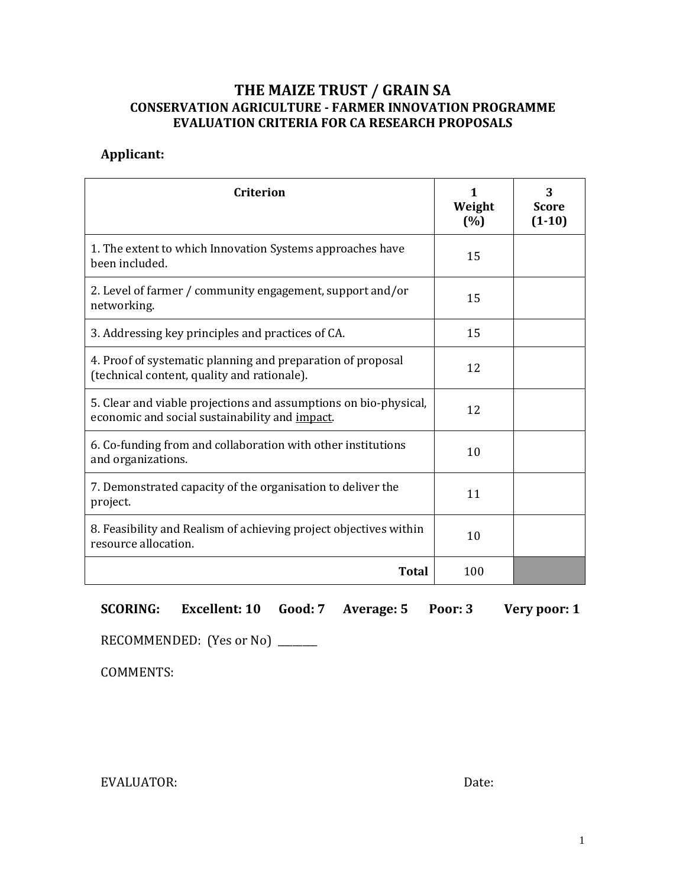## **THE MAIZE TRUST / GRAIN SA CONSERVATION AGRICULTURE - FARMER INNOVATION PROGRAMME EVALUATION CRITERIA FOR CA RESEARCH PROPOSALS**

## **Applicant:**

| <b>Criterion</b>                                                                                                   | 1<br>Weight<br>(%) | 3<br><b>Score</b><br>$(1-10)$ |
|--------------------------------------------------------------------------------------------------------------------|--------------------|-------------------------------|
| 1. The extent to which Innovation Systems approaches have<br>been included.                                        | 15                 |                               |
| 2. Level of farmer / community engagement, support and/or<br>networking.                                           | 15                 |                               |
| 3. Addressing key principles and practices of CA.                                                                  | 15                 |                               |
| 4. Proof of systematic planning and preparation of proposal<br>(technical content, quality and rationale).         | 12                 |                               |
| 5. Clear and viable projections and assumptions on bio-physical,<br>economic and social sustainability and impact. | 12                 |                               |
| 6. Co-funding from and collaboration with other institutions<br>and organizations.                                 | 10                 |                               |
| 7. Demonstrated capacity of the organisation to deliver the<br>project.                                            | 11                 |                               |
| 8. Feasibility and Realism of achieving project objectives within<br>resource allocation.                          | 10                 |                               |
| <b>Total</b>                                                                                                       | 100                |                               |

**SCORING: Excellent: 10 Good: 7 Average: 5 Poor: 3 Very poor: 1**

RECOMMENDED: (Yes or No) \_\_\_\_\_\_\_\_

COMMENTS:

EVALUATOR: Date: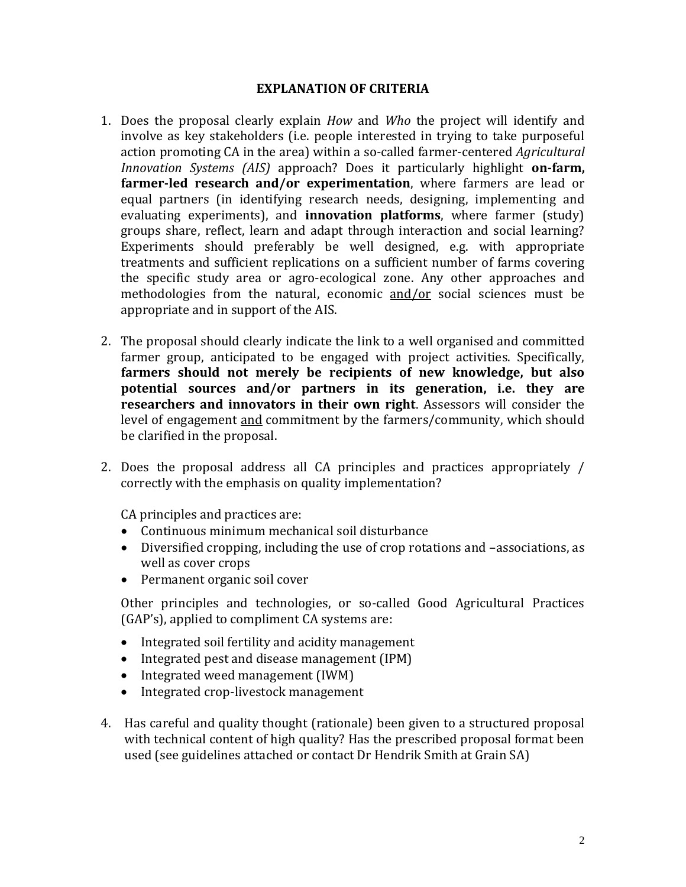## **EXPLANATION OF CRITERIA**

- 1. Does the proposal clearly explain *How* and *Who* the project will identify and involve as key stakeholders (i.e. people interested in trying to take purposeful action promoting CA in the area) within a so-called farmer-centered *Agricultural Innovation Systems (AIS)* approach? Does it particularly highlight **on-farm, farmer-led research and/or experimentation**, where farmers are lead or equal partners (in identifying research needs, designing, implementing and evaluating experiments), and **innovation platforms**, where farmer (study) groups share, reflect, learn and adapt through interaction and social learning? Experiments should preferably be well designed, e.g. with appropriate treatments and sufficient replications on a sufficient number of farms covering the specific study area or agro-ecological zone. Any other approaches and methodologies from the natural, economic and/or social sciences must be appropriate and in support of the AIS.
- 2. The proposal should clearly indicate the link to a well organised and committed farmer group, anticipated to be engaged with project activities. Specifically, **farmers should not merely be recipients of new knowledge, but also potential sources and/or partners in its generation, i.e. they are researchers and innovators in their own right**. Assessors will consider the level of engagement and commitment by the farmers/community, which should be clarified in the proposal.
- 2. Does the proposal address all CA principles and practices appropriately / correctly with the emphasis on quality implementation?

CA principles and practices are:

- Continuous minimum mechanical soil disturbance
- Diversified cropping, including the use of crop rotations and –associations, as well as cover crops
- Permanent organic soil cover

Other principles and technologies, or so-called Good Agricultural Practices (GAP's), applied to compliment CA systems are:

- Integrated soil fertility and acidity management
- Integrated pest and disease management (IPM)
- Integrated weed management (IWM)
- Integrated crop-livestock management
- 4. Has careful and quality thought (rationale) been given to a structured proposal with technical content of high quality? Has the prescribed proposal format been used (see guidelines attached or contact Dr Hendrik Smith at Grain SA)